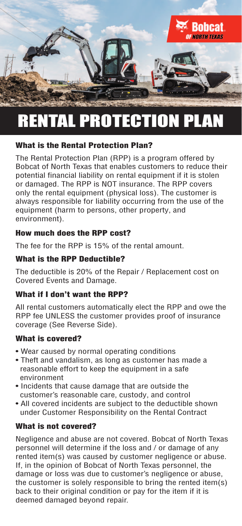

## RENTAL PROTECTION PLAN

#### What is the Rental Protection Plan?

The Rental Protection Plan (RPP) is a program offered by Bobcat of North Texas that enables customers to reduce their potential financial liability on rental equipment if it is stolen or damaged. The RPP is NOT insurance. The RPP covers only the rental equipment (physical loss). The customer is always responsible for liability occurring from the use of the equipment (harm to persons, other property, and environment).

#### How much does the RPP cost?

The fee for the RPP is 15% of the rental amount.

#### What is the RPP Deductible?

The deductible is 20% of the Repair / Replacement cost on Covered Events and Damage.

## What if I don't want the RPP?

All rental customers automatically elect the RPP and owe the RPP fee UNLESS the customer provides proof of insurance coverage (See Reverse Side).

#### What is covered?

- Wear caused by normal operating conditions
- Theft and vandalism, as long as customer has made a reasonable effort to keep the equipment in a safe environment
- Incidents that cause damage that are outside the customer's reasonable care, custody, and control
- All covered incidents are subject to the deductible shown under Customer Responsibility on the Rental Contract

## What is not covered?

Negligence and abuse are not covered. Bobcat of North Texas personnel will determine if the loss and / or damage of any rented item(s) was caused by customer negligence or abuse. If, in the opinion of Bobcat of North Texas personnel, the damage or loss was due to customer's negligence or abuse, the customer is solely responsible to bring the rented item(s) back to their original condition or pay for the item if it is deemed damaged beyond repair.